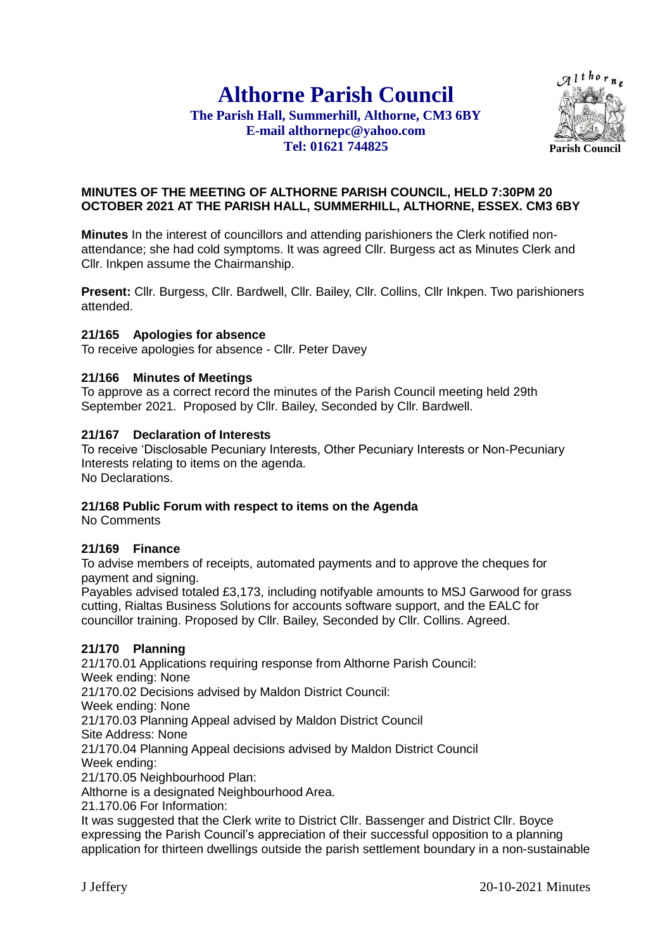# **Althorne Parish Council**

### **The Parish Hall, Summerhill, Althorne, CM3 6BY E-mail althornepc@yahoo.com Tel: 01621 744825**



### **MINUTES OF THE MEETING OF ALTHORNE PARISH COUNCIL, HELD 7:30PM 20 OCTOBER 2021 AT THE PARISH HALL, SUMMERHILL, ALTHORNE, ESSEX. CM3 6BY**

**Minutes** In the interest of councillors and attending parishioners the Clerk notified nonattendance; she had cold symptoms. It was agreed Cllr. Burgess act as Minutes Clerk and Cllr. Inkpen assume the Chairmanship.

**Present:** Cllr. Burgess, Cllr. Bardwell, Cllr. Bailey, Cllr. Collins, Cllr Inkpen. Two parishioners attended.

### **21/165 Apologies for absence**

To receive apologies for absence - Cllr. Peter Davey

### **21/166 Minutes of Meetings**

To approve as a correct record the minutes of the Parish Council meeting held 29th September 2021. Proposed by Cllr. Bailey, Seconded by Cllr. Bardwell.

### **21/167 Declaration of Interests**

To receive 'Disclosable Pecuniary Interests, Other Pecuniary Interests or Non-Pecuniary Interests relating to items on the agenda. No Declarations.

### **21/168 Public Forum with respect to items on the Agenda**

No Comments

### **21/169 Finance**

To advise members of receipts, automated payments and to approve the cheques for payment and signing.

Payables advised totaled £3,173, including notifyable amounts to MSJ Garwood for grass cutting, Rialtas Business Solutions for accounts software support, and the EALC for councillor training. Proposed by Cllr. Bailey, Seconded by Cllr. Collins. Agreed.

### **21/170 Planning**

21/170.01 Applications requiring response from Althorne Parish Council: Week ending: None 21/170.02 Decisions advised by Maldon District Council: Week ending: None 21/170.03 Planning Appeal advised by Maldon District Council Site Address: None 21/170.04 Planning Appeal decisions advised by Maldon District Council Week ending: 21/170.05 Neighbourhood Plan: Althorne is a designated Neighbourhood Area. 21.170.06 For Information: It was suggested that the Clerk write to District Cllr. Bassenger and District Cllr. Boyce expressing the Parish Council's appreciation of their successful opposition to a planning

application for thirteen dwellings outside the parish settlement boundary in a non-sustainable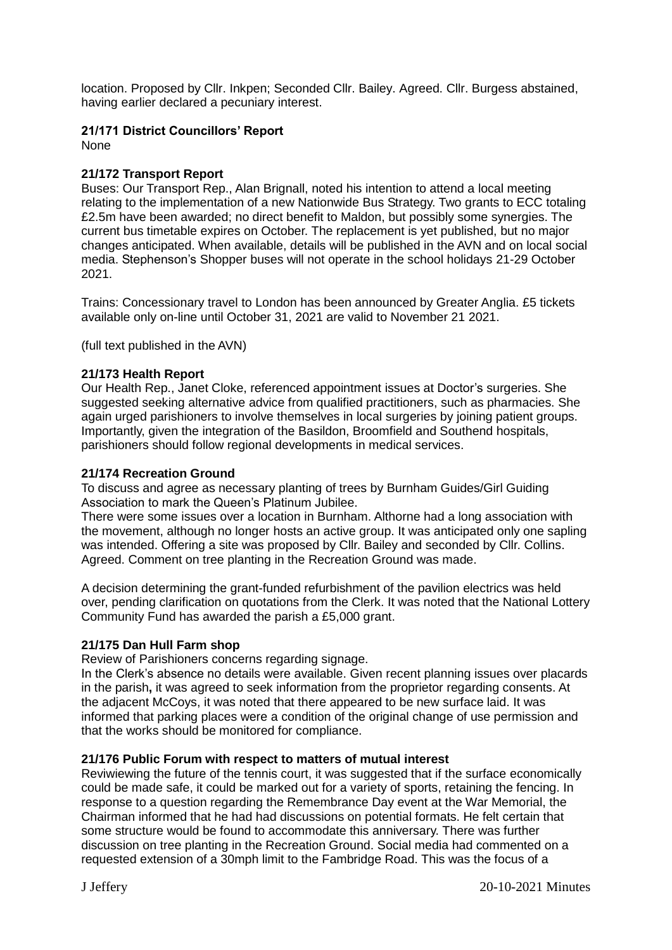location. Proposed by Cllr. Inkpen; Seconded Cllr. Bailey. Agreed. Cllr. Burgess abstained, having earlier declared a pecuniary interest.

## **21/171 District Councillors' Report**

None

### **21/172 Transport Report**

Buses: Our Transport Rep., Alan Brignall, noted his intention to attend a local meeting relating to the implementation of a new Nationwide Bus Strategy. Two grants to ECC totaling £2.5m have been awarded; no direct benefit to Maldon, but possibly some synergies. The current bus timetable expires on October. The replacement is yet published, but no major changes anticipated. When available, details will be published in the AVN and on local social media. Stephenson's Shopper buses will not operate in the school holidays 21-29 October 2021.

Trains: Concessionary travel to London has been announced by Greater Anglia. £5 tickets available only on-line until October 31, 2021 are valid to November 21 2021.

(full text published in the AVN)

### **21/173 Health Report**

Our Health Rep., Janet Cloke, referenced appointment issues at Doctor's surgeries. She suggested seeking alternative advice from qualified practitioners, such as pharmacies. She again urged parishioners to involve themselves in local surgeries by joining patient groups. Importantly, given the integration of the Basildon, Broomfield and Southend hospitals, parishioners should follow regional developments in medical services.

### **21/174 Recreation Ground**

To discuss and agree as necessary planting of trees by Burnham Guides/Girl Guiding Association to mark the Queen's Platinum Jubilee.

There were some issues over a location in Burnham. Althorne had a long association with the movement, although no longer hosts an active group. It was anticipated only one sapling was intended. Offering a site was proposed by Cllr. Bailey and seconded by Cllr. Collins. Agreed. Comment on tree planting in the Recreation Ground was made.

A decision determining the grant-funded refurbishment of the pavilion electrics was held over, pending clarification on quotations from the Clerk. It was noted that the National Lottery Community Fund has awarded the parish a £5,000 grant.

### **21/175 Dan Hull Farm shop**

Review of Parishioners concerns regarding signage.

In the Clerk's absence no details were available. Given recent planning issues over placards in the parish**,** it was agreed to seek information from the proprietor regarding consents. At the adjacent McCoys, it was noted that there appeared to be new surface laid. It was informed that parking places were a condition of the original change of use permission and that the works should be monitored for compliance.

### **21/176 Public Forum with respect to matters of mutual interest**

Reviwiewing the future of the tennis court, it was suggested that if the surface economically could be made safe, it could be marked out for a variety of sports, retaining the fencing. In response to a question regarding the Remembrance Day event at the War Memorial, the Chairman informed that he had had discussions on potential formats. He felt certain that some structure would be found to accommodate this anniversary. There was further discussion on tree planting in the Recreation Ground. Social media had commented on a requested extension of a 30mph limit to the Fambridge Road. This was the focus of a